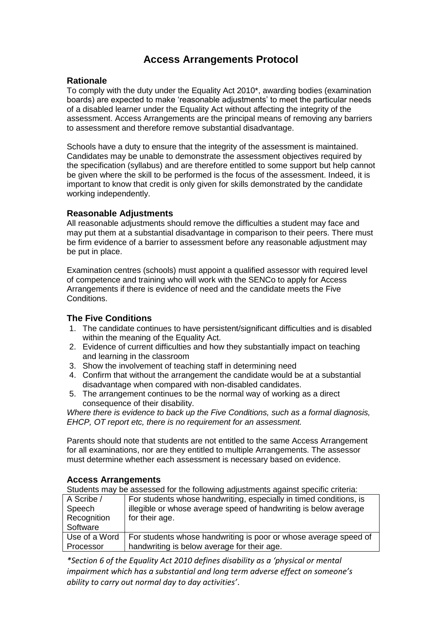# **Access Arrangements Protocol**

#### **Rationale**

To comply with the duty under the Equality Act 2010\*, awarding bodies (examination boards) are expected to make 'reasonable adjustments' to meet the particular needs of a disabled learner under the Equality Act without affecting the integrity of the assessment. Access Arrangements are the principal means of removing any barriers to assessment and therefore remove substantial disadvantage.

Schools have a duty to ensure that the integrity of the assessment is maintained. Candidates may be unable to demonstrate the assessment objectives required by the specification (syllabus) and are therefore entitled to some support but help cannot be given where the skill to be performed is the focus of the assessment. Indeed, it is important to know that credit is only given for skills demonstrated by the candidate working independently.

### **Reasonable Adjustments**

All reasonable adjustments should remove the difficulties a student may face and may put them at a substantial disadvantage in comparison to their peers. There must be firm evidence of a barrier to assessment before any reasonable adjustment may be put in place.

Examination centres (schools) must appoint a qualified assessor with required level of competence and training who will work with the SENCo to apply for Access Arrangements if there is evidence of need and the candidate meets the Five **Conditions** 

### **The Five Conditions**

- 1. The candidate continues to have persistent/significant difficulties and is disabled within the meaning of the Equality Act.
- 2. Evidence of current difficulties and how they substantially impact on teaching and learning in the classroom
- 3. Show the involvement of teaching staff in determining need
- 4. Confirm that without the arrangement the candidate would be at a substantial disadvantage when compared with non-disabled candidates.
- 5. The arrangement continues to be the normal way of working as a direct consequence of their disability.

*Where there is evidence to back up the Five Conditions, such as a formal diagnosis, EHCP, OT report etc, there is no requirement for an assessment.*

Parents should note that students are not entitled to the same Access Arrangement for all examinations, nor are they entitled to multiple Arrangements. The assessor must determine whether each assessment is necessary based on evidence.

### **Access Arrangements**

Students may be assessed for the following adjustments against specific criteria:

| A Scribe /    | For students whose handwriting, especially in timed conditions, is |
|---------------|--------------------------------------------------------------------|
| Speech        | illegible or whose average speed of handwriting is below average   |
| Recognition   | for their age.                                                     |
| Software      |                                                                    |
| Use of a Word | For students whose handwriting is poor or whose average speed of   |
| Processor     | handwriting is below average for their age.                        |

*\*Section 6 of the Equality Act 2010 defines disability as a 'physical or mental impairment which has a substantial and long term adverse effect on someone's ability to carry out normal day to day activities'*.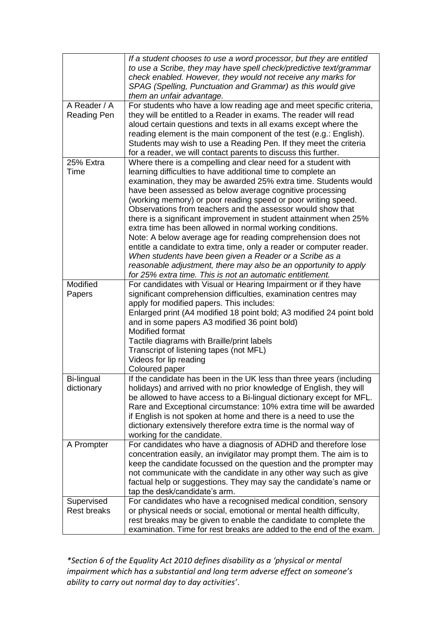|                                    | If a student chooses to use a word processor, but they are entitled<br>to use a Scribe, they may have spell check/predictive text/grammar<br>check enabled. However, they would not receive any marks for<br>SPAG (Spelling, Punctuation and Grammar) as this would give<br>them an unfair advantage.                                                                                                                                                                                                                                                                                                                                                                                                                                                                                                                                                              |
|------------------------------------|--------------------------------------------------------------------------------------------------------------------------------------------------------------------------------------------------------------------------------------------------------------------------------------------------------------------------------------------------------------------------------------------------------------------------------------------------------------------------------------------------------------------------------------------------------------------------------------------------------------------------------------------------------------------------------------------------------------------------------------------------------------------------------------------------------------------------------------------------------------------|
| A Reader / A<br><b>Reading Pen</b> | For students who have a low reading age and meet specific criteria,<br>they will be entitled to a Reader in exams. The reader will read<br>aloud certain questions and texts in all exams except where the<br>reading element is the main component of the test (e.g.: English).<br>Students may wish to use a Reading Pen. If they meet the criteria<br>for a reader, we will contact parents to discuss this further.                                                                                                                                                                                                                                                                                                                                                                                                                                            |
| 25% Extra<br>Time                  | Where there is a compelling and clear need for a student with<br>learning difficulties to have additional time to complete an<br>examination, they may be awarded 25% extra time. Students would<br>have been assessed as below average cognitive processing<br>(working memory) or poor reading speed or poor writing speed.<br>Observations from teachers and the assessor would show that<br>there is a significant improvement in student attainment when 25%<br>extra time has been allowed in normal working conditions.<br>Note: A below average age for reading comprehension does not<br>entitle a candidate to extra time, only a reader or computer reader.<br>When students have been given a Reader or a Scribe as a<br>reasonable adjustment, there may also be an opportunity to apply<br>for 25% extra time. This is not an automatic entitlement. |
| Modified<br>Papers                 | For candidates with Visual or Hearing Impairment or if they have<br>significant comprehension difficulties, examination centres may<br>apply for modified papers. This includes:<br>Enlarged print (A4 modified 18 point bold; A3 modified 24 point bold<br>and in some papers A3 modified 36 point bold)<br><b>Modified format</b><br>Tactile diagrams with Braille/print labels<br>Transcript of listening tapes (not MFL)<br>Videos for lip reading<br>Coloured paper                                                                                                                                                                                                                                                                                                                                                                                           |
| <b>Bi-lingual</b><br>dictionary    | If the candidate has been in the UK less than three years (including<br>holidays) and arrived with no prior knowledge of English, they will<br>be allowed to have access to a Bi-lingual dictionary except for MFL.<br>Rare and Exceptional circumstance: 10% extra time will be awarded<br>if English is not spoken at home and there is a need to use the<br>dictionary extensively therefore extra time is the normal way of<br>working for the candidate.                                                                                                                                                                                                                                                                                                                                                                                                      |
| A Prompter                         | For candidates who have a diagnosis of ADHD and therefore lose<br>concentration easily, an invigilator may prompt them. The aim is to<br>keep the candidate focussed on the question and the prompter may<br>not communicate with the candidate in any other way such as give<br>factual help or suggestions. They may say the candidate's name or<br>tap the desk/candidate's arm.                                                                                                                                                                                                                                                                                                                                                                                                                                                                                |
| Supervised<br><b>Rest breaks</b>   | For candidates who have a recognised medical condition, sensory<br>or physical needs or social, emotional or mental health difficulty,<br>rest breaks may be given to enable the candidate to complete the<br>examination. Time for rest breaks are added to the end of the exam.                                                                                                                                                                                                                                                                                                                                                                                                                                                                                                                                                                                  |

*\*Section 6 of the Equality Act 2010 defines disability as a 'physical or mental impairment which has a substantial and long term adverse effect on someone's ability to carry out normal day to day activities'*.